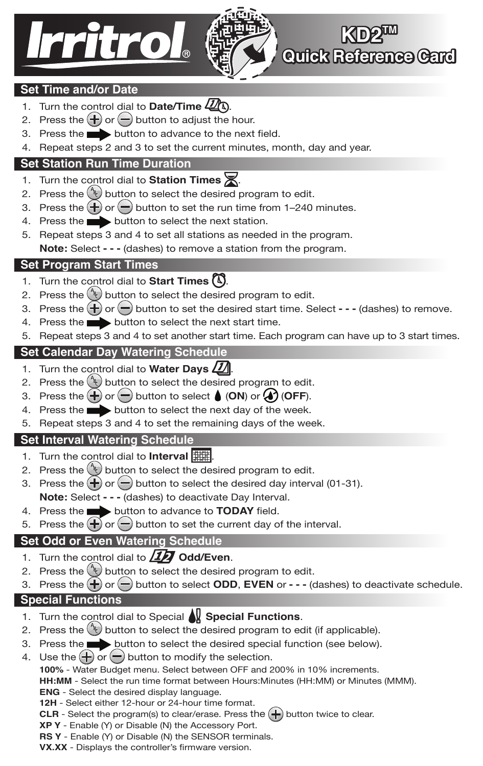



**KD2W Quick Reference Card**

## **Set Time and/or Date**

- 1. Turn the control dial to **Date/Time**  $\mathbb{Z}$ .
- 2. Press the  $\bigoplus$  or  $\bigoplus$  button to adjust the hour.
- 3. Press the **button to advance to the next field.**
- 4. Repeat steps 2 and 3 to set the current minutes, month, day and year.

## **Set Station Run Time Duration**

- 1. Turn the control dial to **Station Times**  $\mathbb{X}$ .
- 2. Press the  $\binom{k}{k}$  button to select the desired program to edit.
- 3. Press the  $\leftarrow$  or  $\leftarrow$  button to set the run time from 1–240 minutes.
- 4. Press the **button to select the next station.**
- 5. Repeat steps 3 and 4 to set all stations as needed in the program. **Note:** Select **- - -** (dashes) to remove a station from the program.

## **Set Program Start Times**

- 1. Turn the control dial to **Start Times**  $\mathbb{Q}$ .
- 2. Press the  $\binom{4}{k}$  button to select the desired program to edit.
- 3. Press the  $\leftarrow$  or  $\leftarrow$  button to set the desired start time. Select - (dashes) to remove.
- 4. Press the **button to select the next start time.**
- 5. Repeat steps 3 and 4 to set another start time. Each program can have up to 3 start times.

# **Set Calendar Day Watering Schedule**

- 1. Turn the control dial to **Water Days**  $\Box$ .
- 2. Press the  $\binom{4}{k}$  button to select the desired program to edit.
- 3. Press the  $\bigoplus$  or  $\bigoplus$  button to select  $\bigoplus$  (ON) or  $\bigoplus$  (OFF).
- 4. Press the **button to select the next day of the week.**
- 5. Repeat steps 3 and 4 to set the remaining days of the week.

# **Set Interval Watering Schedule**

- 1. Turn the control dial to **Interval**
- 2. Press the  $\binom{4}{3}$  button to select the desired program to edit.
- 3. Press the  $\bigoplus$  or  $\bigoplus$  button to select the desired day interval (01-31).
- **Note:** Select  **- -** (dashes) to deactivate Day Interval.
- 4. Press the **button to advance to TODAY** field.
- 5. Press the  $\bigoplus$  or  $\bigoplus$  button to set the current day of the interval.

# **Set Odd or Even Watering Schedule**

- 1. Turn the control dial to  $\Box$ **7** Odd/Even.
- 2. Press the  $\rightarrow$  button to select the desired program to edit.
- 3. Press the  $\leftarrow$  or  $\leftarrow$  button to select **ODD**, **EVEN** or  $\cdot$   $\cdot$  (dashes) to deactivate schedule.

#### **Special Functions**

- 1. Turn the control dial to Special **Special Functions**.
- 2. Press the  $\binom{n}{k}$  button to select the desired program to edit (if applicable).
- 3. Press the button to select the desired special function (see below).
- 4. Use the  $\bigoplus$  or  $\bigoplus$  button to modify the selection.

**100%** - Water Budget menu. Select between OFF and 200% in 10% increments.

**HH:MM** - Select the run time format between Hours:Minutes (HH:MM) or Minutes (MMM).

**ENG** - Select the desired display language.

**12H** - Select either 12-hour or 24-hour time format.

**CLR** - Select the program(s) to clear/erase. Press the  $\leftarrow$  button twice to clear.

**XP Y** - Enable (Y) or Disable (N) the Accessory Port.

**RS Y** - Enable (Y) or Disable (N) the SENSOR terminals.

**VX.XX** - Displays the controller's firmware version.